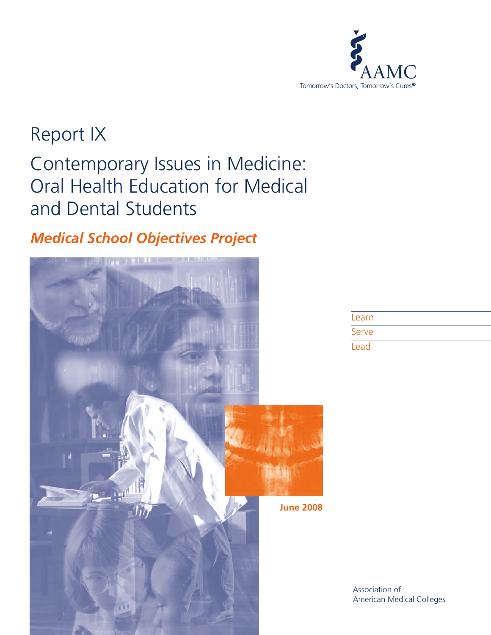

## Report IX

# Contemporary Issues in Medicine: Oral Health Education for Medical and Dental Students

## *Medical School Objectives Project*



| Learn |  |  |
|-------|--|--|
| Serve |  |  |
| Lead  |  |  |

Association of American Medical Colleges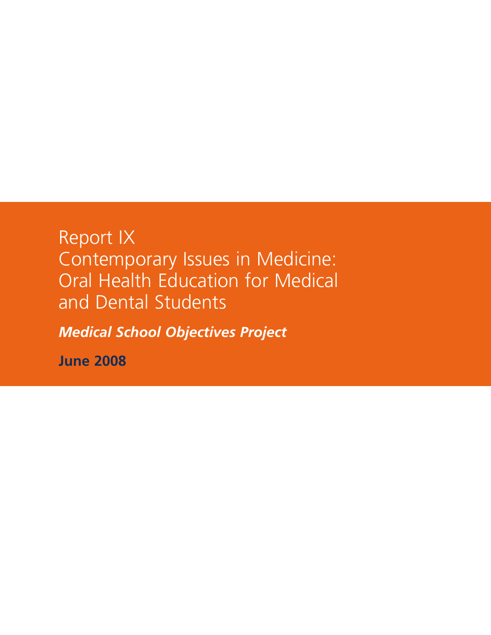*Medical School Objectives Project*

**June 2008**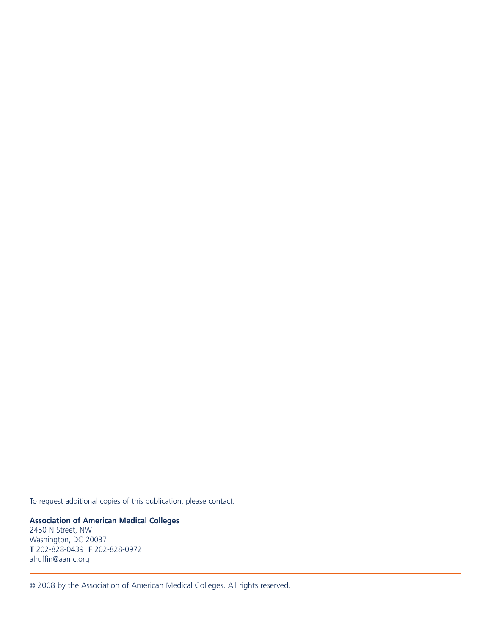To request additional copies of this publication, please contact:

### **Association of American Medical Colleges**

2450 N Street, NW Washington, DC 20037 **T** 202-828-0439 **F** 202-828-0972 alruffin@aamc.org

© 2008 by the Association of American Medical Colleges. All rights reserved.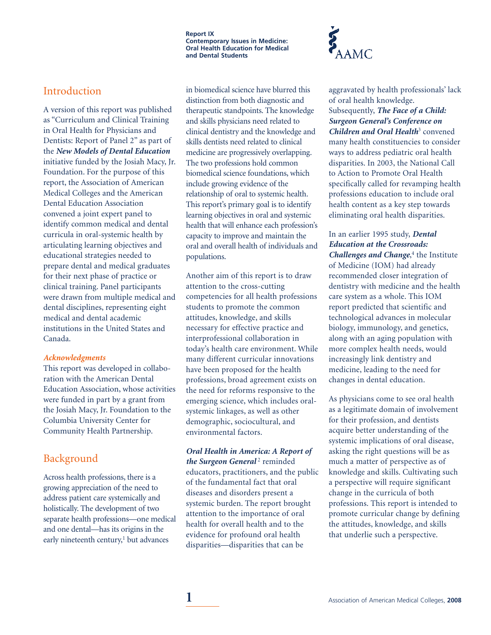

## Introduction

A version of this report was published as "Curriculum and Clinical Training in Oral Health for Physicians and Dentists: Report of Panel 2" as part of the *New Models of Dental Education* initiative funded by the Josiah Macy, Jr. Foundation. For the purpose of this report, the Association of American Medical Colleges and the American Dental Education Association convened a joint expert panel to identify common medical and dental curricula in oral-systemic health by articulating learning objectives and educational strategies needed to prepare dental and medical graduates for their next phase of practice or clinical training. Panel participants were drawn from multiple medical and dental disciplines, representing eight medical and dental academic institutions in the United States and Canada.

#### *Acknowledgments*

This report was developed in collaboration with the American Dental Education Association, whose activities were funded in part by a grant from the Josiah Macy, Jr. Foundation to the Columbia University Center for Community Health Partnership.

## Background

Across health professions, there is a growing appreciation of the need to address patient care systemically and holistically. The development of two separate health professions—one medical and one dental—has its origins in the early nineteenth century,<sup>1</sup> but advances

in biomedical science have blurred this distinction from both diagnostic and therapeutic standpoints. The knowledge and skills physicians need related to clinical dentistry and the knowledge and skills dentists need related to clinical medicine are progressively overlapping. The two professions hold common biomedical science foundations, which include growing evidence of the relationship of oral to systemic health. This report's primary goal is to identify learning objectives in oral and systemic health that will enhance each profession's capacity to improve and maintain the oral and overall health of individuals and populations.

Another aim of this report is to draw attention to the cross-cutting competencies for all health professions students to promote the common attitudes, knowledge, and skills necessary for effective practice and interprofessional collaboration in today's health care environment. While many different curricular innovations have been proposed for the health professions, broad agreement exists on the need for reforms responsive to the emerging science, which includes oralsystemic linkages, as well as other demographic, sociocultural, and environmental factors.

*Oral Health in America: A Report of the Surgeon General* <sup>2</sup> reminded educators, practitioners, and the public of the fundamental fact that oral diseases and disorders present a systemic burden. The report brought attention to the importance of oral health for overall health and to the evidence for profound oral health disparities—disparities that can be

aggravated by health professionals' lack of oral health knowledge.

Subsequently, *The Face of a Child: Surgeon General's Conference on Children and Oral Health***<sup>3</sup> convened** many health constituencies to consider ways to address pediatric oral health disparities. In 2003, the National Call to Action to Promote Oral Health specifically called for revamping health professions education to include oral health content as a key step towards eliminating oral health disparities.

In an earlier 1995 study, *Dental Education at the Crossroads: Challenges and Change*, <sup>4</sup> the Institute of Medicine (IOM) had already recommended closer integration of dentistry with medicine and the health care system as a whole. This IOM report predicted that scientific and technological advances in molecular biology, immunology, and genetics, along with an aging population with more complex health needs, would increasingly link dentistry and medicine, leading to the need for changes in dental education.

As physicians come to see oral health as a legitimate domain of involvement for their profession, and dentists acquire better understanding of the systemic implications of oral disease, asking the right questions will be as much a matter of perspective as of knowledge and skills. Cultivating such a perspective will require significant change in the curricula of both professions. This report is intended to promote curricular change by defining the attitudes, knowledge, and skills that underlie such a perspective.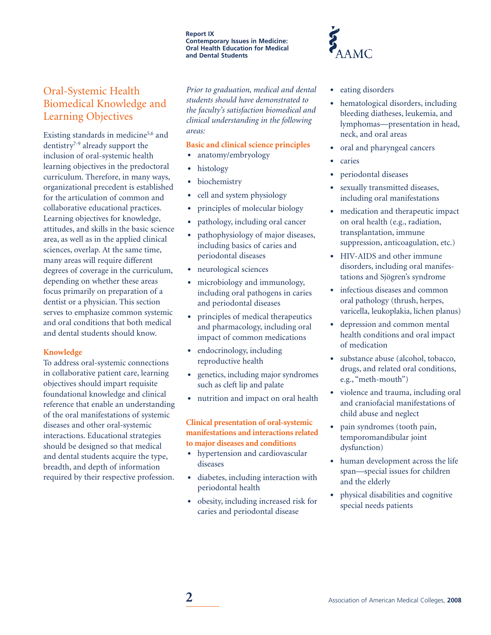## Oral-Systemic Health Biomedical Knowledge and Learning Objectives

Existing standards in medicine<sup>5,6</sup> and dentistry7-9 already support the inclusion of oral-systemic health learning objectives in the predoctoral curriculum. Therefore, in many ways, organizational precedent is established for the articulation of common and collaborative educational practices. Learning objectives for knowledge, attitudes, and skills in the basic science area, as well as in the applied clinical sciences, overlap. At the same time, many areas will require different degrees of coverage in the curriculum, depending on whether these areas focus primarily on preparation of a dentist or a physician. This section serves to emphasize common systemic and oral conditions that both medical and dental students should know.

#### **Knowledge**

To address oral-systemic connections in collaborative patient care, learning objectives should impart requisite foundational knowledge and clinical reference that enable an understanding of the oral manifestations of systemic diseases and other oral-systemic interactions. Educational strategies should be designed so that medical and dental students acquire the type, breadth, and depth of information required by their respective profession.

*Prior to graduation, medical and dental students should have demonstrated to the faculty's satisfaction biomedical and clinical understanding in the following areas:*

**Basic and clinical science principles**

#### • anatomy/embryology

- histology
- biochemistry
- cell and system physiology
- principles of molecular biology
- pathology, including oral cancer
- pathophysiology of major diseases, including basics of caries and periodontal diseases
- neurological sciences
- microbiology and immunology, including oral pathogens in caries and periodontal diseases
- principles of medical therapeutics and pharmacology, including oral impact of common medications
- endocrinology, including reproductive health
- genetics, including major syndromes such as cleft lip and palate
- nutrition and impact on oral health

**Clinical presentation of oral-systemic manifestations and interactionsrelated to major diseases and conditions**

- hypertension and cardiovascular diseases
- diabetes, including interaction with periodontal health
- obesity, including increased risk for caries and periodontal disease



- eating disorders
- hematological disorders, including bleeding diatheses, leukemia, and lymphomas—presentation in head, neck, and oral areas
- oral and pharyngeal cancers
- **caries**
- periodontal diseases
- sexually transmitted diseases, including oral manifestations
- medication and therapeutic impact on oral health (e.g., radiation, transplantation, immune suppression, anticoagulation, etc.)
- HIV-AIDS and other immune disorders, including oral manifestations and Sjögren's syndrome
- infectious diseases and common oral pathology (thrush, herpes, varicella, leukoplakia, lichen planus)
- depression and common mental health conditions and oral impact of medication
- substance abuse (alcohol, tobacco, drugs, and related oral conditions, e.g., "meth-mouth")
- violence and trauma, including oral and craniofacial manifestations of child abuse and neglect
- pain syndromes (tooth pain, temporomandibular joint dysfunction)
- human development across the life span—special issues for children and the elderly
- physical disabilities and cognitive special needs patients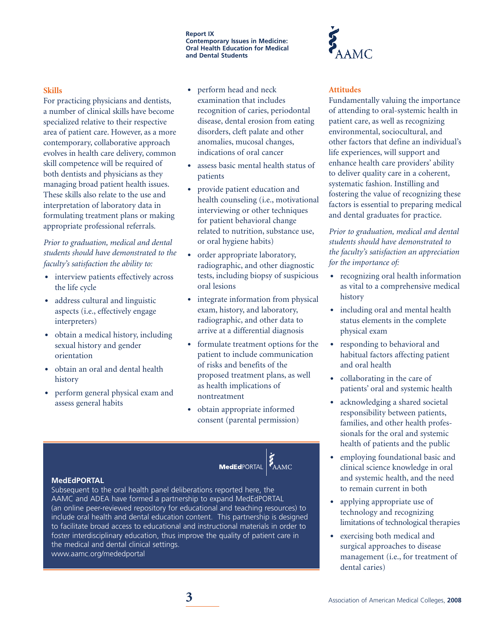#### **Skills**

For practicing physicians and dentists, a number of clinical skills have become specialized relative to their respective area of patient care. However, as a more contemporary, collaborative approach evolves in health care delivery, common skill competence will be required of both dentists and physicians as they managing broad patient health issues. These skills also relate to the use and interpretation of laboratory data in formulating treatment plans or making appropriate professional referrals.

*Prior to graduation, medical and dental students should have demonstrated to the faculty's satisfaction the ability to:*

- interview patients effectively across the life cycle
- address cultural and linguistic aspects (i.e., effectively engage interpreters)
- obtain a medical history, including sexual history and gender orientation
- obtain an oral and dental health history
- perform general physical exam and assess general habits
- perform head and neck examination that includes recognition of caries, periodontal disease, dental erosion from eating disorders, cleft palate and other anomalies, mucosal changes, indications of oral cancer
- assess basic mental health status of patients
- provide patient education and health counseling (i.e., motivational interviewing or other techniques for patient behavioral change related to nutrition, substance use, or oral hygiene habits)
- order appropriate laboratory, radiographic, and other diagnostic tests, including biopsy of suspicious oral lesions
- integrate information from physical exam, history, and laboratory, radiographic, and other data to arrive at a differential diagnosis
- formulate treatment options for the patient to include communication of risks and benefits of the proposed treatment plans, as well as health implications of nontreatment
- obtain appropriate informed consent (parental permission)

MedEdPORTAL EAAMC

#### **MedEdPORTAL**

Subsequent to the oral health panel deliberations reported here, the AAMC and ADEA have formed a partnership to expand MedEdPORTAL (an online peer-reviewed repository for educational and teaching resources) to include oral health and dental education content. This partnership is designed to facilitate broad access to educational and instructional materials in order to foster interdisciplinary education, thus improve the quality of patient care in the medical and dental clinical settings. www.aamc.org/mededportal



#### **Attitudes**

Fundamentally valuing the importance of attending to oral-systemic health in patient care, as well as recognizing environmental, sociocultural, and other factors that define an individual's life experiences, will support and enhance health care providers' ability to deliver quality care in a coherent, systematic fashion. Instilling and fostering the value of recognizing these factors is essential to preparing medical and dental graduates for practice.

*Prior to graduation, medical and dental students should have demonstrated to the faculty's satisfaction an appreciation for the importance of:*

- recognizing oral health information as vital to a comprehensive medical history
- including oral and mental health status elements in the complete physical exam
- responding to behavioral and habitual factors affecting patient and oral health
- collaborating in the care of patients' oral and systemic health
- acknowledging a shared societal responsibility between patients, families, and other health professionals for the oral and systemic health of patients and the public
- employing foundational basic and clinical science knowledge in oral and systemic health, and the need to remain current in both
- applying appropriate use of technology and recognizing limitations of technological therapies
- exercising both medical and surgical approaches to disease management (i.e., for treatment of dental caries)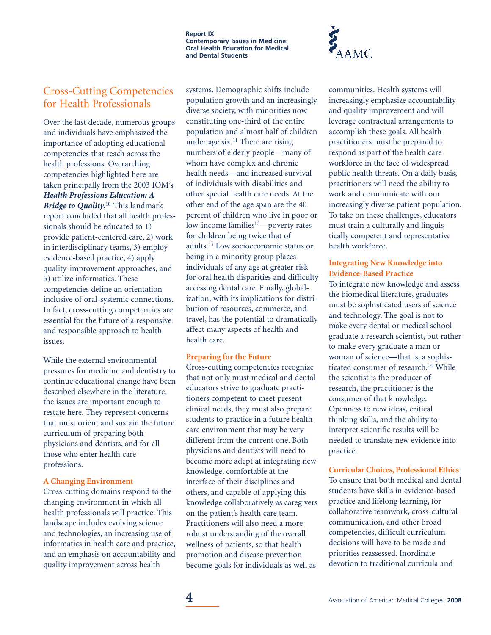## Cross-Cutting Competencies for Health Professionals

Over the last decade, numerous groups and individuals have emphasized the importance of adopting educational competencies that reach across the health professions. Overarching competencies highlighted here are taken principally from the 2003 IOM's *Health Professions Education: A Bridge to Quality*. <sup>10</sup> This landmark report concluded that all health professionals should be educated to 1) provide patient-centered care, 2) work in interdisciplinary teams, 3) employ evidence-based practice, 4) apply quality-improvement approaches, and 5) utilize informatics. These competencies define an orientation inclusive of oral-systemic connections. In fact, cross-cutting competencies are essential for the future of a responsive and responsible approach to health issues.

While the external environmental pressures for medicine and dentistry to continue educational change have been described elsewhere in the literature, the issues are important enough to restate here. They represent concerns that must orient and sustain the future curriculum of preparing both physicians and dentists, and for all those who enter health care professions.

#### **A Changing Environment**

Cross-cutting domains respond to the changing environment in which all health professionals will practice. This landscape includes evolving science and technologies, an increasing use of informatics in health care and practice, and an emphasis on accountability and quality improvement across health

systems. Demographic shifts include population growth and an increasingly diverse society, with minorities now constituting one-third of the entire population and almost half of children under age six. <sup>11</sup> There are rising numbers of elderly people—many of whom have complex and chronic health needs—and increased survival of individuals with disabilities and other special health care needs. At the other end of the age span are the 40 percent of children who live in poor or low-income families<sup>12</sup>—poverty rates for children being twice that of adults. <sup>13</sup> Low socioeconomic status or being in a minority group places individuals of any age at greater risk for oral health disparities and difficulty accessing dental care. Finally, globalization, with its implications for distribution of resources, commerce, and travel, has the potential to dramatically affect many aspects of health and health care.

#### **Preparing for the Future**

Cross-cutting competencies recognize that not only must medical and dental educators strive to graduate practitioners competent to meet present clinical needs, they must also prepare students to practice in a future health care environment that may be very different from the current one. Both physicians and dentists will need to become more adept at integrating new knowledge, comfortable at the interface of their disciplines and others, and capable of applying this knowledge collaboratively as caregivers on the patient's health care team. Practitioners will also need a more robust understanding of the overall wellness of patients, so that health promotion and disease prevention become goals for individuals as well as



communities. Health systems will increasingly emphasize accountability and quality improvement and will leverage contractual arrangements to accomplish these goals. All health practitioners must be prepared to respond as part of the health care workforce in the face of widespread public health threats. On a daily basis, practitioners will need the ability to work and communicate with our increasingly diverse patient population. To take on these challenges, educators must train a culturally and linguistically competent and representative health workforce.

#### **Integrating New Knowledge into Evidence-Based Practice**

To integrate new knowledge and assess the biomedical literature, graduates must be sophisticated users of science and technology. The goal is not to make every dental or medical school graduate a research scientist, but rather to make every graduate a man or woman of science—that is, a sophisticated consumer of research. <sup>14</sup> While the scientist is the producer of research, the practitioner is the consumer of that knowledge. Openness to new ideas, critical thinking skills, and the ability to interpret scientific results will be needed to translate new evidence into practice.

**Curricular Choices, Professional Ethics** To ensure that both medical and dental students have skills in evidence-based practice and lifelong learning, for collaborative teamwork, cross-cultural communication, and other broad competencies, difficult curriculum decisions will have to be made and priorities reassessed. Inordinate devotion to traditional curricula and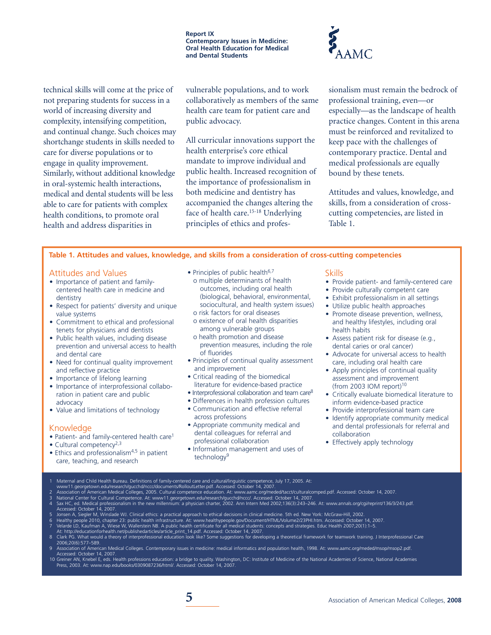technical skills will come at the price of not preparing students for success in a world of increasing diversity and complexity, intensifying competition, and continual change. Such choices may shortchange students in skills needed to care for diverse populations or to engage in quality improvement. Similarly, without additional knowledge in oral-systemic health interactions, medical and dental students will be less able to care for patients with complex health conditions, to promote oral health and address disparities in

vulnerable populations, and to work collaboratively as members of the same health care team for patient care and public advocacy.

All curricular innovations support the health enterprise's core ethical mandate to improve individual and public health. Increased recognition of the importance of professionalism in both medicine and dentistry has accompanied the changes altering the face of health care. 15-18 Underlying principles of ethics and profes-



sionalism must remain the bedrock of professional training, even—or especially—as the landscape of health practice changes. Content in this arena must be reinforced and revitalized to keep pace with the challenges of contemporary practice. Dental and medical professionals are equally bound by these tenets.

Attitudes and values, knowledge, and skills, from a consideration of crosscutting competencies, are listed in Table 1.

**Table 1. Attitudes and values, knowledge, and skills from a consideration of cross-cutting competencies**

#### Attitudes and Values

- Importance of patient and familycentered health care in medicine and dentistry
- Respect for patients' diversity and unique value systems
- Commitment to ethical and professional tenets for physicians and dentists
- Public health values, including disease prevention and universal access to health and dental care
- Need for continual quality improvement and reflective practice
- Importance of lifelong learning
- Importance of interprofessional collaboration in patient care and public advocacy
- Value and limitations of technology

#### Knowledge

- Patient- and family-centered health care<sup>1</sup>
- $\bullet$  Cultural competency<sup>2,3</sup>
- Ethics and professionalism<sup>4,5</sup> in patient care, teaching, and research
- Principles of public health $6.7$ 
	- o multiple determinants of health outcomes, including oral health (biological, behavioral, environmental, sociocultural, and health system issues) o risk factors for oral diseases
	- o existence of oral health disparities among vulnerable groups
	- o health promotion and disease prevention measures, including the role of fluorides
- Principles of continual quality assessment and improvement
- Critical reading of the biomedical literature for evidence-based practice
- Interprofessional collaboration and team care8
- Differences in health profession cultures
- Communication and effective referral across professions
- Appropriate community medical and dental colleagues for referral and professional collaboration
- Information management and uses of technology<sup>9</sup>

#### Skills

- Provide patient- and family-centered care
- Provide culturally competent care
- Exhibit professionalism in all settings
- Utilize public health approaches
- Promote disease prevention, wellness, and healthy lifestyles, including oral health habits
- Assess patient risk for disease (e.g., dental caries or oral cancer)
- Advocate for universal access to health care, including oral health care
- Apply principles of continual quality assessment and improvement (from 2003 IOM report) $10$
- Critically evaluate biomedical literature to inform evidence-based practice
- Provide interprofessional team care
- Identify appropriate community medical and dental professionals for referral and collaboration
- Effectively apply technology
- 
- 
- 
- 1 Maternal and Child Health Bureau. Definitions of family-centered care and cultural/linguistic competence, July 17, 2005. At:<br>2 Www11.georgetown.edu/research/gucchd/nccc/documents/RolloutLetter.pdf. Accessed: October 14,
- 
- 5 –Jonsen A, Siegler M, Winslade WJ. Clinical ethics: a practical approach to ethical decisions in clinical medicine. 5th ed. New York: McGraw-Hill, 2002.<br>6 Healthy people 2010, chapter 23: public health infrastructure.
- At: http://educationforhealth.net/publishedarticles/article\_print\_14.pdf. Accessed: October 14, 2007.
- 8 Clark PG. What would a theory of interprofessional education look like? Some suggestions for developing a theoretical framework for teamwork training. J Interprofessional Care 2006;20(6):577–589.
- 9 Association of American Medical Colleges. Contemporary issues in medicine: medical informatics and population health, 1998. At: www.aamc.org/meded/msop/msop2.pdf.
- Accessed: October 14, 2007.<br>10 Greiner AN, Knebel E, eds. Health professions education: a bridge to quality. Washington, DC: Institute of Medicine of the National Academies of Science, National Academies<br>10 Press, 2003. At

**5**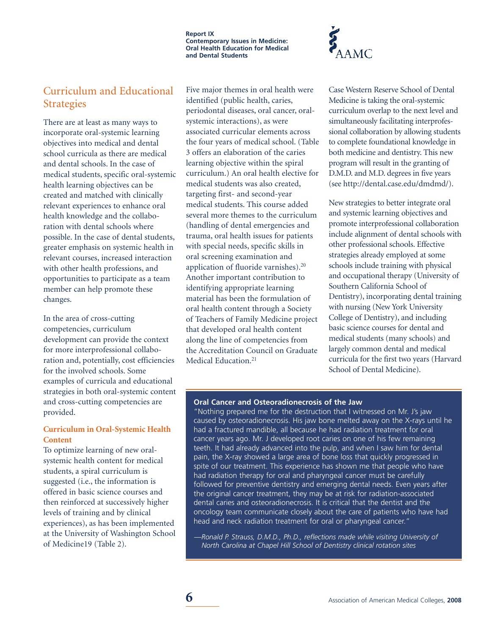## Curriculum and Educational **Strategies**

There are at least as many ways to incorporate oral-systemic learning objectives into medical and dental school curricula as there are medical and dental schools. In the case of medical students, specific oral-systemic health learning objectives can be created and matched with clinically relevant experiences to enhance oral health knowledge and the collaboration with dental schools where possible. In the case of dental students, greater emphasis on systemic health in relevant courses, increased interaction with other health professions, and opportunities to participate as a team member can help promote these changes.

In the area of cross-cutting competencies, curriculum development can provide the context for more interprofessional collaboration and, potentially, cost efficiencies for the involved schools. Some examples of curricula and educational strategies in both oral-systemic content and cross-cutting competencies are provided.

#### **Curriculum in Oral-Systemic Health Content**

To optimize learning of new oralsystemic health content for medical students, a spiral curriculum is suggested (i.e., the information is offered in basic science courses and then reinforced at successively higher levels of training and by clinical experiences), as has been implemented at the University of Washington School of Medicine19 (Table 2).

Five major themes in oral health were identified (public health, caries, periodontal diseases, oral cancer, oralsystemic interactions), as were associated curricular elements across the four years of medical school. (Table 3 offers an elaboration of the caries learning objective within the spiral curriculum.) An oral health elective for medical students was also created, targeting first- and second-year medical students. This course added several more themes to the curriculum (handling of dental emergencies and trauma, oral health issues for patients with special needs, specific skills in oral screening examination and application of fluoride varnishes). 20 Another important contribution to identifying appropriate learning material has been the formulation of oral health content through a Society of Teachers of Family Medicine project that developed oral health content along the line of competencies from the Accreditation Council on Graduate Medical Education. 21



Case Western Reserve School of Dental Medicine is taking the oral-systemic curriculum overlap to the next level and simultaneously facilitating interprofessional collaboration by allowing students to complete foundational knowledge in both medicine and dentistry. This new program will result in the granting of D.M.D. and M.D. degrees in five years (see http://dental.case.edu/dmdmd/).

New strategies to better integrate oral and systemic learning objectives and promote interprofessional collaboration include alignment of dental schools with other professional schools. Effective strategies already employed at some schools include training with physical and occupational therapy (University of Southern California School of Dentistry), incorporating dental training with nursing (New York University College of Dentistry), and including basic science courses for dental and medical students (many schools) and largely common dental and medical curricula for the first two years (Harvard School of Dental Medicine).

#### **Oral Cancer and Osteoradionecrosis of the Jaw**

"Nothing prepared me for the destruction that I witnessed on Mr. J's jaw caused by osteoradionecrosis. His jaw bone melted away on the X-rays until he had a fractured mandible, all because he had radiation treatment for oral cancer years ago. Mr. J developed root caries on one of his few remaining teeth. It had already advanced into the pulp, and when I saw him for dental pain, the X-ray showed a large area of bone loss that quickly progressed in spite of our treatment. This experience has shown me that people who have had radiation therapy for oral and pharyngeal cancer must be carefully followed for preventive dentistry and emerging dental needs. Even years after the original cancer treatment, they may be at risk for radiation-associated dental caries and osteoradionecrosis. It is critical that the dentist and the oncology team communicate closely about the care of patients who have had head and neck radiation treatment for oral or pharyngeal cancer."

*—Ronald P. Strauss, D.M.D., Ph.D., reflections made while visiting University of North Carolina at Chapel Hill School of Dentistry clinical rotation sites*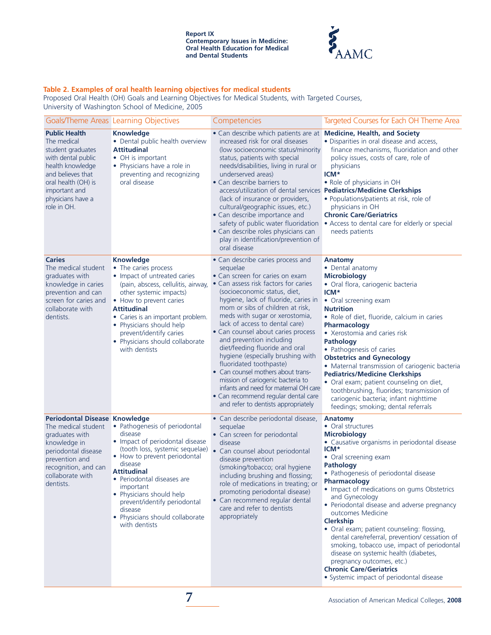

#### **Table 2. Examples of oral health learning objectives for medical students**

Proposed Oral Health (OH) Goals and Learning Objectives for Medical Students, with Targeted Courses, University of Washington School of Medicine, 2005

|                                                                                                                                                                                                     | Goals/Theme Areas Learning Objectives                                                                                                                                                                                                                                                                                                          | Competencies                                                                                                                                                                                                                                                                                                                                                                                                                                                                                                                                                                                                                                                                   | Targeted Courses for Each OH Theme Area                                                                                                                                                                                                                                                                                                                                                                                                                                                                                                                                                                                                                                                  |
|-----------------------------------------------------------------------------------------------------------------------------------------------------------------------------------------------------|------------------------------------------------------------------------------------------------------------------------------------------------------------------------------------------------------------------------------------------------------------------------------------------------------------------------------------------------|--------------------------------------------------------------------------------------------------------------------------------------------------------------------------------------------------------------------------------------------------------------------------------------------------------------------------------------------------------------------------------------------------------------------------------------------------------------------------------------------------------------------------------------------------------------------------------------------------------------------------------------------------------------------------------|------------------------------------------------------------------------------------------------------------------------------------------------------------------------------------------------------------------------------------------------------------------------------------------------------------------------------------------------------------------------------------------------------------------------------------------------------------------------------------------------------------------------------------------------------------------------------------------------------------------------------------------------------------------------------------------|
| <b>Public Health</b><br>The medical<br>student graduates<br>with dental public<br>health knowledge<br>and believes that<br>oral health (OH) is<br>important and<br>physicians have a<br>role in OH. | <b>Knowledge</b><br>• Dental public health overview<br><b>Attitudinal</b><br>• OH is important<br>• Physicians have a role in<br>preventing and recognizing<br>oral disease                                                                                                                                                                    | • Can describe which patients are at Medicine, Health, and Society<br>increased risk for oral diseases<br>(low socioeconomic status/minority<br>status, patients with special<br>needs/disabilities, living in rural or<br>underserved areas)<br>• Can describe barriers to<br>access/utilization of dental services Pediatrics/Medicine Clerkships<br>(lack of insurance or providers,<br>cultural/geographic issues, etc.)<br>• Can describe importance and<br>• Can describe roles physicians can<br>play in identification/prevention of<br>oral disease                                                                                                                   | • Disparities in oral disease and access,<br>finance mechanisms, fluoridation and other<br>policy issues, costs of care, role of<br>physicians<br>ICM*<br>• Role of physicians in OH<br>· Populations/patients at risk, role of<br>physicians in OH<br><b>Chronic Care/Geriatrics</b><br>safety of public water fluoridation . Access to dental care for elderly or special<br>needs patients                                                                                                                                                                                                                                                                                            |
| <b>Caries</b><br>The medical student<br>graduates with<br>knowledge in caries<br>prevention and can<br>screen for caries and<br>collaborate with<br>dentists.                                       | <b>Knowledge</b><br>• The caries process<br>• Impact of untreated caries<br>(pain, abscess, cellulitis, airway,<br>other systemic impacts)<br>• How to prevent caries<br><b>Attitudinal</b><br>• Caries is an important problem.<br>• Physicians should help<br>prevent/identify caries<br>• Physicians should collaborate<br>with dentists    | • Can describe caries process and<br>sequelae<br>• Can screen for caries on exam<br>• Can assess risk factors for caries<br>(socioeconomic status, diet,<br>hygiene, lack of fluoride, caries in<br>mom or sibs of children at risk,<br>meds with sugar or xerostomia,<br>lack of access to dental care)<br>• Can counsel about caries process<br>and prevention including<br>diet/feeding fluoride and oral<br>hygiene (especially brushing with<br>fluoridated toothpaste)<br>• Can counsel mothers about trans-<br>mission of cariogenic bacteria to<br>infants and need for maternal OH care<br>• Can recommend regular dental care<br>and refer to dentists appropriately | Anatomy<br>• Dental anatomy<br><b>Microbiology</b><br>· Oral flora, cariogenic bacteria<br>ICM*<br>• Oral screening exam<br><b>Nutrition</b><br>. Role of diet, fluoride, calcium in caries<br>Pharmacology<br>• Xerostomia and caries risk<br><b>Pathology</b><br>• Pathogenesis of caries<br><b>Obstetrics and Gynecology</b><br>• Maternal transmission of cariogenic bacteria<br><b>Pediatrics/Medicine Clerkships</b><br>• Oral exam; patient counseling on diet,<br>toothbrushing, fluorides; transmission of<br>cariogenic bacteria; infant nighttime<br>feedings; smoking; dental referrals                                                                                      |
| <b>Periodontal Disease Knowledge</b><br>The medical student<br>graduates with<br>knowledge in<br>periodontal disease<br>prevention and<br>recognition, and can<br>collaborate with<br>dentists.     | • Pathogenesis of periodontal<br>disease<br>• Impact of periodontal disease<br>(tooth loss, systemic sequelae)<br>• How to prevent periodontal<br>disease<br>Attitudinal<br>• Periodontal diseases are<br>important<br>• Physicians should help<br>prevent/identify periodontal<br>disease<br>• Physicians should collaborate<br>with dentists | · Can describe periodontal disease,<br>sequelae<br>• Can screen for periodontal<br>disease<br>• Can counsel about periodontal<br>disease prevention<br>(smoking/tobacco; oral hygiene<br>including brushing and flossing;<br>role of medications in treating; or<br>promoting periodontal disease)<br>• Can recommend regular dental<br>care and refer to dentists<br>appropriately                                                                                                                                                                                                                                                                                            | <b>Anatomy</b><br>• Oral structures<br><b>Microbiology</b><br>• Causative organisms in periodontal disease<br>ICM <sup>*</sup><br>• Oral screening exam<br>Pathology<br>• Pathogenesis of periodontal disease<br>Pharmacology<br>• Impact of medications on gums Obstetrics<br>and Gynecology<br>• Periodontal disease and adverse pregnancy<br>outcomes Medicine<br><b>Clerkship</b><br>• Oral exam; patient counseling: flossing,<br>dental care/referral, prevention/ cessation of<br>smoking, tobacco use, impact of periodontal<br>disease on systemic health (diabetes,<br>pregnancy outcomes, etc.)<br><b>Chronic Care/Geriatrics</b><br>· Systemic impact of periodontal disease |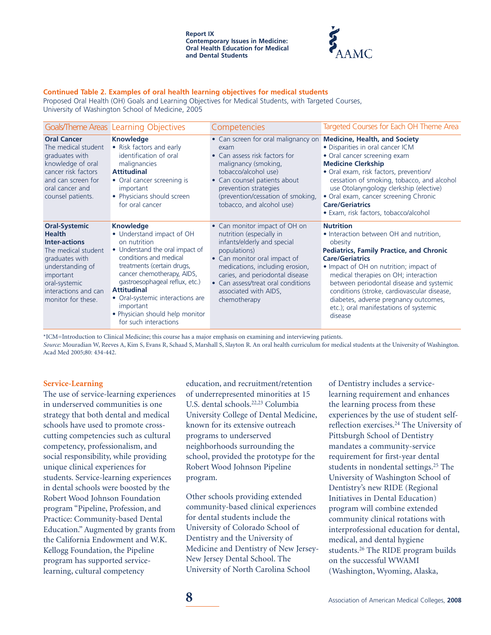

#### **Continued Table 2. Examples of oral health learning objectives for medical students** Proposed Oral Health (OH) Goals and Learning Objectives for Medical Students, with Targeted Courses,

University of Washington School of Medicine, 2005

|                                                                                                                                                                                                        | <b>Goals/Theme Areas Learning Objectives</b>                                                                                                                                                                                                                                                                                                                | Competencies                                                                                                                                                                                                                                                                                  | Targeted Courses for Each OH Theme Area                                                                                                                                                                                                                                                                                                                                                                                        |
|--------------------------------------------------------------------------------------------------------------------------------------------------------------------------------------------------------|-------------------------------------------------------------------------------------------------------------------------------------------------------------------------------------------------------------------------------------------------------------------------------------------------------------------------------------------------------------|-----------------------------------------------------------------------------------------------------------------------------------------------------------------------------------------------------------------------------------------------------------------------------------------------|--------------------------------------------------------------------------------------------------------------------------------------------------------------------------------------------------------------------------------------------------------------------------------------------------------------------------------------------------------------------------------------------------------------------------------|
| <b>Oral Cancer</b><br>The medical student<br>graduates with<br>knowledge of oral<br>cancer risk factors<br>and can screen for<br>oral cancer and<br>counsel patients.                                  | <b>Knowledge</b><br>• Risk factors and early<br>identification of oral<br>malignancies<br><b>Attitudinal</b><br>• Oral cancer screening is<br>important<br>• Physicians should screen<br>for oral cancer                                                                                                                                                    | • Can screen for oral malignancy on<br>exam<br>• Can assess risk factors for<br>malignancy (smoking,<br>tobacco/alcohol use)<br>• Can counsel patients about<br>prevention strategies<br>(prevention/cessation of smoking,<br>tobacco, and alcohol use)                                       | <b>Medicine, Health, and Society</b><br>• Disparities in oral cancer ICM<br>• Oral cancer screening exam<br><b>Medicine Clerkship</b><br>• Oral exam, risk factors, prevention/<br>cessation of smoking, tobacco, and alcohol<br>use Otolaryngology clerkship (elective)<br>· Oral exam, cancer screening Chronic<br><b>Care/Geriatrics</b><br>• Exam, risk factors, tobacco/alcohol                                           |
| <b>Oral-Systemic</b><br><b>Health</b><br><b>Inter-actions</b><br>The medical student<br>graduates with<br>understanding of<br>important<br>oral-systemic<br>interactions and can<br>monitor for these. | <b>Knowledge</b><br>• Understand impact of OH<br>on nutrition<br>• Understand the oral impact of<br>conditions and medical<br>treatments (certain drugs,<br>cancer chemotherapy, AIDS,<br>gastroesophageal reflux, etc.)<br><b>Attitudinal</b><br>• Oral-systemic interactions are<br>important<br>• Physician should help monitor<br>for such interactions | • Can monitor impact of OH on<br>nutrition (especially in<br>infants/elderly and special<br>populations)<br>• Can monitor oral impact of<br>medications, including erosion,<br>caries, and periodontal disease<br>• Can assess/treat oral conditions<br>associated with AIDS,<br>chemotherapy | <b>Nutrition</b><br>• Interaction between OH and nutrition,<br>obesity<br><b>Pediatrics, Family Practice, and Chronic</b><br><b>Care/Geriatrics</b><br>• Impact of OH on nutrition; impact of<br>medical therapies on OH; interaction<br>between periodontal disease and systemic<br>conditions (stroke, cardiovascular disease,<br>diabetes, adverse pregnancy outcomes,<br>etc.); oral manifestations of systemic<br>disease |

\*ICM=Introduction to Clinical Medicine; this course has a major emphasis on examining and interviewing patients.

*Source:* Mouradian W, Reeves A, Kim S, Evans R, Schaad S, Marshall S, Slayton R. An oral health curriculum for medical students at the University of Washington. Acad Med 2005;80: 434-442.

#### **Service-Learning**

The use of service-learning experiences in underserved communities is one strategy that both dental and medical schools have used to promote crosscutting competencies such as cultural competency, professionalism, and social responsibility, while providing unique clinical experiences for students. Service-learning experiences in dental schools were boosted by the Robert Wood Johnson Foundation program "Pipeline, Profession, and Practice: Community-based Dental Education." Augmented by grants from the California Endowment and W.K. Kellogg Foundation, the Pipeline program has supported servicelearning, cultural competency

education, and recruitment/retention of underrepresented minorities at 15 U.S. dental schools. 22,23 Columbia University College of Dental Medicine, known for its extensive outreach programs to underserved neighborhoods surrounding the school, provided the prototype for the Robert Wood Johnson Pipeline program.

Other schools providing extended community-based clinical experiences for dental students include the University of Colorado School of Dentistry and the University of Medicine and Dentistry of New Jersey-New Jersey Dental School. The University of North Carolina School

of Dentistry includes a servicelearning requirement and enhances the learning process from these experiences by the use of student selfreflection exercises. <sup>24</sup> The University of Pittsburgh School of Dentistry mandates a community-service requirement for first-year dental students in nondental settings. <sup>25</sup> The University of Washington School of Dentistry's new RIDE (Regional Initiatives in Dental Education) program will combine extended community clinical rotations with interprofessional education for dental, medical, and dental hygiene students. <sup>26</sup> The RIDE program builds on the successful WWAMI (Washington, Wyoming, Alaska,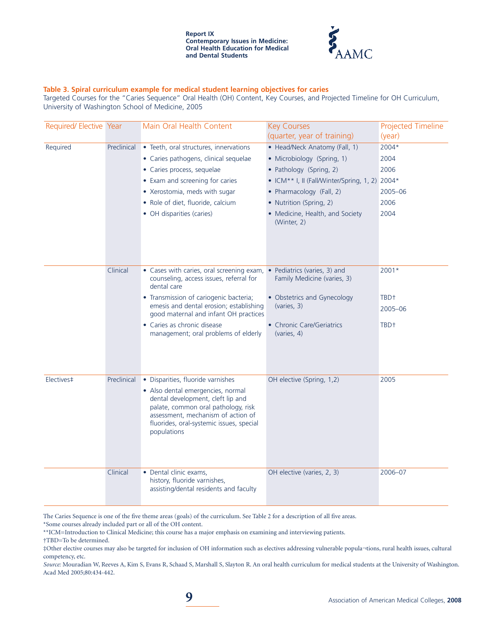

#### **Table 3. Spiral curriculum example for medical student learning objectives for caries**

Targeted Courses for the "Caries Sequence" Oral Health (OH) Content, Key Courses, and Projected Timeline for OH Curriculum, University of Washington School of Medicine, 2005

| Required/ Elective Year |             | Main Oral Health Content                                                                                                                                                                                                                                                                                                              | <b>Key Courses</b><br>(quarter, year of training)                                                                                                                                                                                                 | Projected Timeline<br>(year)                     |
|-------------------------|-------------|---------------------------------------------------------------------------------------------------------------------------------------------------------------------------------------------------------------------------------------------------------------------------------------------------------------------------------------|---------------------------------------------------------------------------------------------------------------------------------------------------------------------------------------------------------------------------------------------------|--------------------------------------------------|
| Required                | Preclinical | • Teeth, oral structures, innervations<br>· Caries pathogens, clinical sequelae<br>• Caries process, sequelae<br>• Exam and screening for caries<br>• Xerostomia, meds with sugar<br>· Role of diet, fluoride, calcium<br>• OH disparities (caries)                                                                                   | • Head/Neck Anatomy (Fall, 1)<br>• Microbiology (Spring, 1)<br>• Pathology (Spring, 2)<br>• ICM** I, II (Fall/Winter/Spring, 1, 2) 2004*<br>• Pharmacology (Fall, 2)<br>• Nutrition (Spring, 2)<br>• Medicine, Health, and Society<br>(Winter, 2) | 2004*<br>2004<br>2006<br>2005-06<br>2006<br>2004 |
|                         | Clinical    | • Cases with caries, oral screening exam, • Pediatrics (varies, 3) and<br>counseling, access issues, referral for<br>dental care<br>• Transmission of cariogenic bacteria;<br>emesis and dental erosion; establishing<br>good maternal and infant OH practices<br>• Caries as chronic disease<br>management; oral problems of elderly | Family Medicine (varies, 3)<br>• Obstetrics and Gynecology<br>(varies, 3)<br>• Chronic Care/Geriatrics<br>(varies, 4)                                                                                                                             | 2001*<br>TBD+<br>2005-06<br>TBD+                 |
| Electives#              | Preclinical | · Disparities, fluoride varnishes<br>· Also dental emergencies, normal<br>dental development, cleft lip and<br>palate, common oral pathology, risk<br>assessment, mechanism of action of<br>fluorides, oral-systemic issues, special<br>populations                                                                                   | OH elective (Spring, 1,2)                                                                                                                                                                                                                         | 2005                                             |
|                         | Clinical    | • Dental clinic exams,<br>history, fluoride varnishes,<br>assisting/dental residents and faculty                                                                                                                                                                                                                                      | OH elective (varies, 2, 3)                                                                                                                                                                                                                        | 2006-07                                          |

The Caries Sequence is one of the five theme areas (goals) of the curriculum. See Table 2 for a description of all five areas.

\*Some courses already included part or all of the OH content.

\*\*ICM=Introduction to Clinical Medicine; this course has a major emphasis on examining and interviewing patients.

*Source:* Mouradian W, Reeves A, Kim S, Evans R, Schaad S, Marshall S, Slayton R. An oral health curriculum for medical students at the University of Washington. Acad Med 2005;80:434-442.

<sup>†</sup>TBD=To be determined.

<sup>‡</sup>Other elective courses may also be targeted for inclusion of OH information such as electives addressing vulnerable popula¬tions, rural health issues, cultural competency, etc.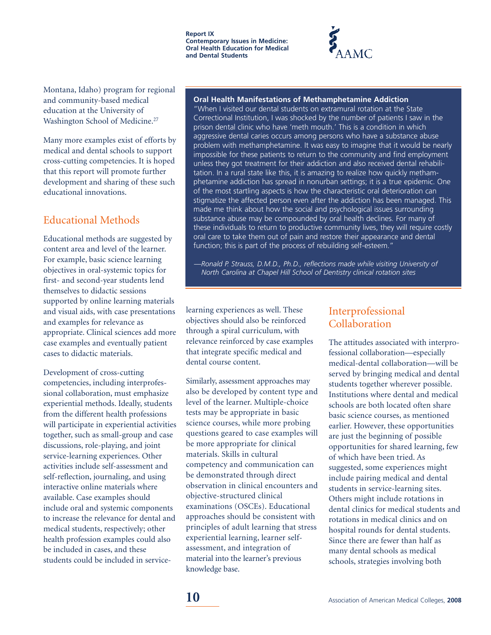

Montana, Idaho) program for regional and community-based medical education at the University of Washington School of Medicine. 27

Many more examples exist of efforts by medical and dental schools to support cross-cutting competencies. It is hoped that this report will promote further development and sharing of these such educational innovations.

## Educational Methods

Educational methods are suggested by content area and level of the learner. For example, basic science learning objectives in oral-systemic topics for first- and second-year students lend themselves to didactic sessions supported by online learning materials and visual aids, with case presentations and examples for relevance as appropriate. Clinical sciences add more case examples and eventually patient cases to didactic materials.

Development of cross-cutting competencies, including interprofessional collaboration, must emphasize experiential methods. Ideally, students from the different health professions will participate in experiential activities together, such as small-group and case discussions, role-playing, and joint service-learning experiences. Other activities include self-assessment and self-reflection, journaling, and using interactive online materials where available. Case examples should include oral and systemic components to increase the relevance for dental and medical students, respectively; other health profession examples could also be included in cases, and these students could be included in service-

#### **Oral Health Manifestations of Methamphetamine Addiction**

"When I visited our dental students on extramural rotation at the State Correctional Institution, I was shocked by the number of patients I saw in the prison dental clinic who have 'meth mouth.' This is a condition in which aggressive dental caries occurs among persons who have a substance abuse problem with methamphetamine. It was easy to imagine that it would be nearly impossible for these patients to return to the community and find employment unless they got treatment for their addiction and also received dental rehabilitation. In a rural state like this, it is amazing to realize how quickly methamphetamine addiction has spread in nonurban settings; it is a true epidemic. One of the most startling aspects is how the characteristic oral deterioration can stigmatize the affected person even after the addiction has been managed. This made me think about how the social and psychological issues surrounding substance abuse may be compounded by oral health declines. For many of these individuals to return to productive community lives, they will require costly oral care to take them out of pain and restore their appearance and dental function; this is part of the process of rebuilding self-esteem."

*—Ronald P. Strauss, D.M.D., Ph.D., reflections made while visiting University of North Carolina at Chapel Hill School of Dentistry clinical rotation sites*

learning experiences as well. These objectives should also be reinforced through a spiral curriculum, with relevance reinforced by case examples that integrate specific medical and dental course content.

Similarly, assessment approaches may also be developed by content type and level of the learner. Multiple-choice tests may be appropriate in basic science courses, while more probing questions geared to case examples will be more appropriate for clinical materials. Skills in cultural competency and communication can be demonstrated through direct observation in clinical encounters and objective-structured clinical examinations (OSCEs). Educational approaches should be consistent with principles of adult learning that stress experiential learning, learner selfassessment, and integration of material into the learner's previous knowledge base.

## Interprofessional Collaboration

The attitudes associated with interprofessional collaboration—especially medical-dental collaboration—will be served by bringing medical and dental students together wherever possible. Institutions where dental and medical schools are both located often share basic science courses, as mentioned earlier. However, these opportunities are just the beginning of possible opportunities for shared learning, few of which have been tried. As suggested, some experiences might include pairing medical and dental students in service-learning sites. Others might include rotations in dental clinics for medical students and rotations in medical clinics and on hospital rounds for dental students. Since there are fewer than half as many dental schools as medical schools, strategies involving both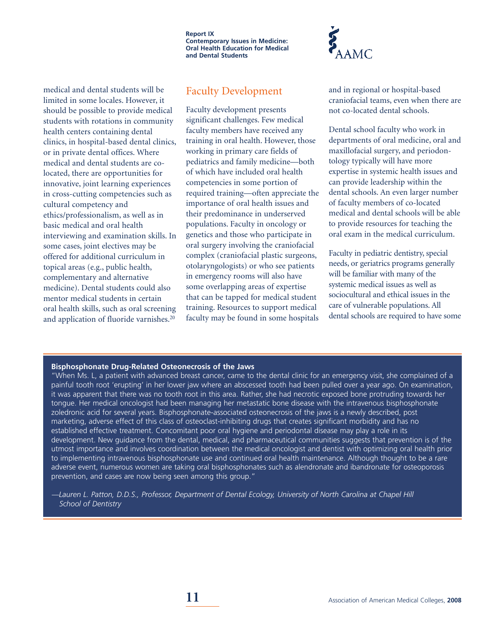medical and dental students will be limited in some locales. However, it should be possible to provide medical students with rotations in community health centers containing dental clinics, in hospital-based dental clinics, or in private dental offices. Where medical and dental students are colocated, there are opportunities for innovative, joint learning experiences in cross-cutting competencies such as cultural competency and ethics/professionalism, as well as in basic medical and oral health interviewing and examination skills. In some cases, joint electives may be offered for additional curriculum in topical areas (e.g., public health, complementary and alternative medicine). Dental students could also mentor medical students in certain oral health skills, such as oral screening and application of fluoride varnishes. 20

### Faculty Development

Faculty development presents significant challenges. Few medical faculty members have received any training in oral health. However, those working in primary care fields of pediatrics and family medicine—both of which have included oral health competencies in some portion of required training—often appreciate the importance of oral health issues and their predominance in underserved populations. Faculty in oncology or genetics and those who participate in oral surgery involving the craniofacial complex (craniofacial plastic surgeons, otolaryngologists) or who see patients in emergency rooms will also have some overlapping areas of expertise that can be tapped for medical student training. Resources to support medical faculty may be found in some hospitals



and in regional or hospital-based craniofacial teams, even when there are not co-located dental schools.

Dental school faculty who work in departments of oral medicine, oral and maxillofacial surgery, and periodontology typically will have more expertise in systemic health issues and can provide leadership within the dental schools. An even larger number of faculty members of co-located medical and dental schools will be able to provide resources for teaching the oral exam in the medical curriculum.

Faculty in pediatric dentistry, special needs, or geriatrics programs generally will be familiar with many of the systemic medical issues as well as sociocultural and ethical issues in the care of vulnerable populations. All dental schools are required to have some

#### **Bisphosphonate Drug-Related Osteonecrosis of the Jaws**

"When Ms. L, a patient with advanced breast cancer, came to the dental clinic for an emergency visit, she complained of a painful tooth root 'erupting' in her lower jaw where an abscessed tooth had been pulled over a year ago. On examination, it was apparent that there was no tooth root in this area. Rather, she had necrotic exposed bone protruding towards her tongue. Her medical oncologist had been managing her metastatic bone disease with the intravenous bisphosphonate zoledronic acid for several years. Bisphosphonate-associated osteonecrosis of the jaws is a newly described, post marketing, adverse effect of this class of osteoclast-inhibiting drugs that creates significant morbidity and has no established effective treatment. Concomitant poor oral hygiene and periodontal disease may play a role in its development. New guidance from the dental, medical, and pharmaceutical communities suggests that prevention is of the utmost importance and involves coordination between the medical oncologist and dentist with optimizing oral health prior to implementing intravenous bisphosphonate use and continued oral health maintenance. Although thought to be a rare adverse event, numerous women are taking oral bisphosphonates such as alendronate and ibandronate for osteoporosis prevention, and cases are now being seen among this group."

*—Lauren L. Patton, D.D.S., Professor, Department of Dental Ecology, University of North Carolina at Chapel Hill School of Dentistry*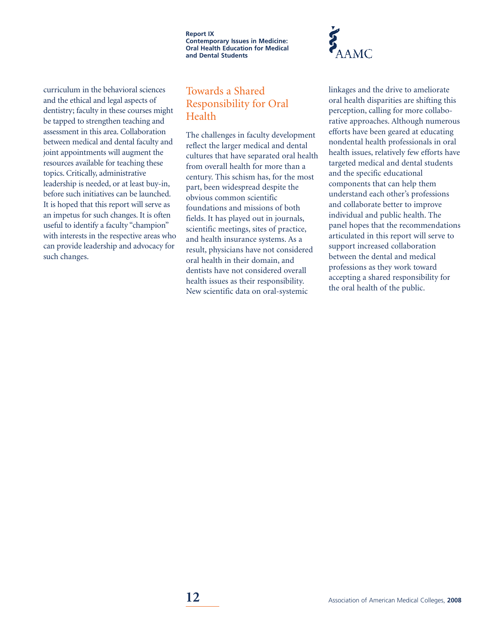curriculum in the behavioral sciences and the ethical and legal aspects of dentistry; faculty in these courses might be tapped to strengthen teaching and assessment in this area. Collaboration between medical and dental faculty and joint appointments will augment the resources available for teaching these topics. Critically, administrative leadership is needed, or at least buy-in, before such initiatives can be launched. It is hoped that this report will serve as an impetus for such changes. It is often useful to identify a faculty "champion" with interests in the respective areas who can provide leadership and advocacy for such changes.

## Towards a Shared Responsibility for Oral Health

The challenges in faculty development reflect the larger medical and dental cultures that have separated oral health from overall health for more than a century. This schism has, for the most part, been widespread despite the obvious common scientific foundations and missions of both fields. It has played out in journals, scientific meetings, sites of practice, and health insurance systems. As a result, physicians have not considered oral health in their domain, and dentists have not considered overall health issues as their responsibility. New scientific data on oral-systemic



linkages and the drive to ameliorate oral health disparities are shifting this perception, calling for more collaborative approaches. Although numerous efforts have been geared at educating nondental health professionals in oral health issues, relatively few efforts have targeted medical and dental students and the specific educational components that can help them understand each other's professions and collaborate better to improve individual and public health. The panel hopes that the recommendations articulated in this report will serve to support increased collaboration between the dental and medical professions as they work toward accepting a shared responsibility for the oral health of the public.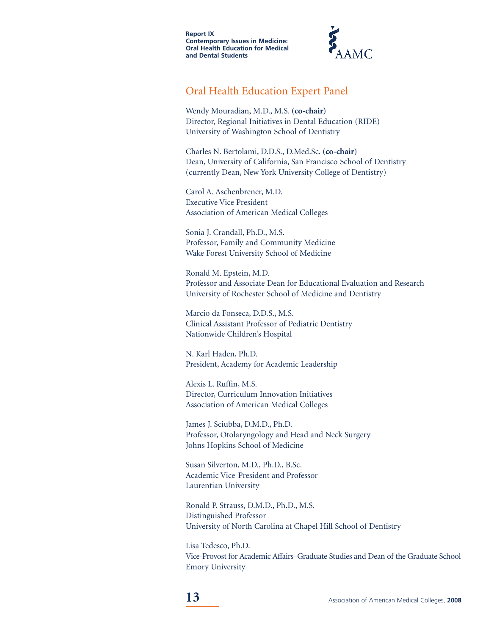



## Oral Health Education Expert Panel

Wendy Mouradian, M.D., M.S. **(co-chair)** Director, Regional Initiatives in Dental Education (RIDE) University of Washington School of Dentistry

Charles N. Bertolami, D.D.S., D.Med.Sc. **(co-chair)** Dean, University of California, San Francisco School of Dentistry (currently Dean, New York University College of Dentistry)

Carol A. Aschenbrener, M.D. Executive Vice President Association of American Medical Colleges

Sonia J. Crandall, Ph.D., M.S. Professor, Family and Community Medicine Wake Forest University School of Medicine

Ronald M. Epstein, M.D. Professor and Associate Dean for Educational Evaluation and Research University of Rochester School of Medicine and Dentistry

Marcio da Fonseca, D.D.S., M.S. Clinical Assistant Professor of Pediatric Dentistry Nationwide Children's Hospital

N. Karl Haden, Ph.D. President, Academy for Academic Leadership

Alexis L. Ruffin, M.S. Director, Curriculum Innovation Initiatives Association of American Medical Colleges

James J. Sciubba, D.M.D., Ph.D. Professor, Otolaryngology and Head and Neck Surgery Johns Hopkins School of Medicine

Susan Silverton, M.D., Ph.D., B.Sc. Academic Vice-President and Professor Laurentian University

Ronald P. Strauss, D.M.D., Ph.D., M.S. Distinguished Professor University of North Carolina at Chapel Hill School of Dentistry

Lisa Tedesco, Ph.D. Vice-Provost for Academic Affairs–Graduate Studies and Dean of the Graduate School Emory University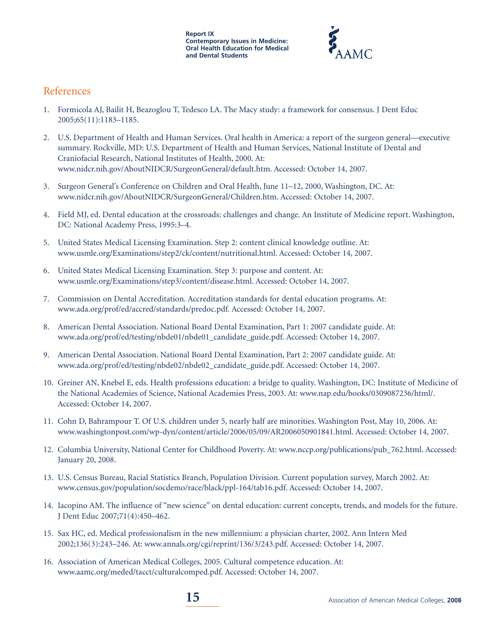

## References

- 1. Formicola AJ, Bailit H, Beazoglou T, Tedesco LA. The Macy study: a framework for consensus. J Dent Educ 2005;65(11):1183–1185.
- 2. U.S. Department of Health and Human Services. Oral health in America: a report of the surgeon general—executive summary. Rockville, MD: U.S. Department of Health and Human Services, National Institute of Dental and Craniofacial Research, National Institutes of Health, 2000. At: www.nidcr.nih.gov/AboutNIDCR/SurgeonGeneral/default.htm. Accessed: October 14, 2007.
- 3. Surgeon General's Conference on Children and Oral Health, June 11–12, 2000, Washington, DC. At: www.nidcr.nih.gov/AboutNIDCR/SurgeonGeneral/Children.htm. Accessed: October 14, 2007.
- 4. Field MJ, ed. Dental education at the crossroads: challenges and change. An Institute of Medicine report. Washington, DC: National Academy Press, 1995:3–4.
- 5. United States Medical Licensing Examination. Step 2: content clinical knowledge outline. At: www.usmle.org/Examinations/step2/ck/content/nutritional.html. Accessed: October 14, 2007.
- 6. United States Medical Licensing Examination. Step 3: purpose and content. At: www.usmle.org/Examinations/step3/content/disease.html. Accessed: October 14, 2007.
- 7. Commission on Dental Accreditation. Accreditation standards for dental education programs. At: www.ada.org/prof/ed/accred/standards/predoc.pdf. Accessed: October 14, 2007.
- 8. American Dental Association. National Board Dental Examination, Part 1: 2007 candidate guide. At: www.ada.org/prof/ed/testing/nbde01/nbde01\_candidate\_guide.pdf. Accessed: October 14, 2007.
- 9. American Dental Association. National Board Dental Examination, Part 2: 2007 candidate guide. At: www.ada.org/prof/ed/testing/nbde02/nbde02\_candidate\_guide.pdf. Accessed: October 14, 2007.
- 10. Greiner AN, Knebel E, eds. Health professions education: a bridge to quality. Washington, DC: Institute of Medicine of the National Academies of Science, National Academies Press, 2003. At: www.nap.edu/books/0309087236/html/. Accessed: October 14, 2007.
- 11. Cohn D, Bahrampour T. Of U.S. children under 5, nearly half are minorities. Washington Post, May 10, 2006. At: www.washingtonpost.com/wp-dyn/content/article/2006/05/09/AR2006050901841.html. Accessed: October 14, 2007.
- 12. Columbia University, National Center for Childhood Poverty. At: www.nccp.org/publications/pub\_762.html. Accessed: January 20, 2008.
- 13. U.S. Census Bureau, Racial Statistics Branch, Population Division. Current population survey, March 2002. At: www.census.gov/population/socdemo/race/black/ppl-164/tab16.pdf. Accessed: October 14, 2007.
- 14. Iacopino AM. The influence of "new science" on dental education: current concepts, trends, and models for the future. J Dent Educ 2007;71(4):450–462.
- 15. Sax HC, ed. Medical professionalism in the new millennium: a physician charter, 2002. Ann Intern Med 2002;136(3):243–246. At: www.annals.org/cgi/reprint/136/3/243.pdf. Accessed: October 14, 2007.
- 16. Association of American Medical Colleges, 2005. Cultural competence education. At: www.aamc.org/meded/tacct/culturalcomped.pdf. Accessed: October 14, 2007.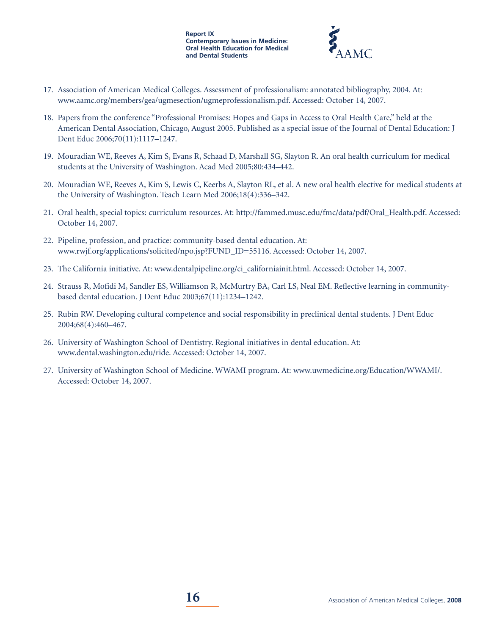

- 17. Association of American Medical Colleges. Assessment of professionalism: annotated bibliography, 2004. At: www.aamc.org/members/gea/ugmesection/ugmeprofessionalism.pdf. Accessed: October 14, 2007.
- 18. Papers from the conference "Professional Promises: Hopes and Gaps in Access to Oral Health Care," held at the American Dental Association, Chicago, August 2005. Published as a special issue of the Journal of Dental Education: J Dent Educ 2006;70(11):1117–1247.
- 19. Mouradian WE, Reeves A, Kim S, Evans R, Schaad D, Marshall SG, Slayton R. An oral health curriculum for medical students at the University of Washington. Acad Med 2005;80:434–442.
- 20. Mouradian WE, Reeves A, Kim S, Lewis C, Keerbs A, Slayton RL, et al. A new oral health elective for medical students at the University of Washington. Teach Learn Med 2006;18(4):336–342.
- 21. Oral health, special topics: curriculum resources. At: http://fammed.musc.edu/fmc/data/pdf/Oral\_Health.pdf. Accessed: October 14, 2007.
- 22. Pipeline, profession, and practice: community-based dental education. At: www.rwjf.org/applications/solicited/npo.jsp?FUND\_ID=55116. Accessed: October 14, 2007.
- 23. The California initiative. At: www.dentalpipeline.org/ci\_californiainit.html. Accessed: October 14, 2007.
- 24. Strauss R, Mofidi M, Sandler ES, Williamson R, McMurtry BA, Carl LS, Neal EM. Reflective learning in communitybased dental education. J Dent Educ 2003;67(11):1234–1242.
- 25. Rubin RW. Developing cultural competence and social responsibility in preclinical dental students. J Dent Educ 2004;68(4):460–467.
- 26. University of Washington School of Dentistry. Regional initiatives in dental education. At: www.dental.washington.edu/ride. Accessed: October 14, 2007.
- 27. University of Washington School of Medicine. WWAMI program. At: www.uwmedicine.org/Education/WWAMI/. Accessed: October 14, 2007.